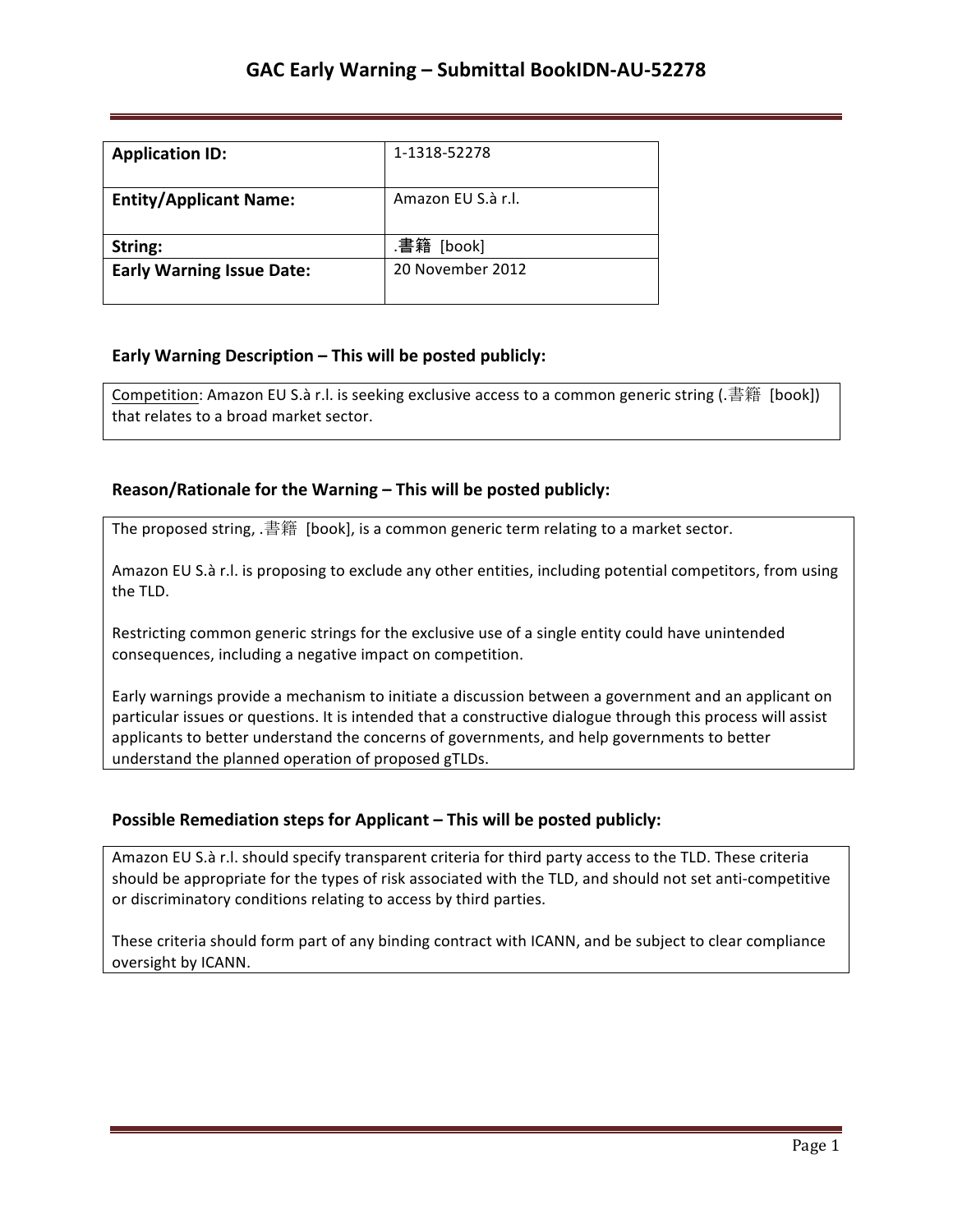| <b>Application ID:</b>           | 1-1318-52278       |
|----------------------------------|--------------------|
| <b>Entity/Applicant Name:</b>    | Amazon EU S.à r.l. |
| String:                          | .書籍<br>[book]      |
| <b>Early Warning Issue Date:</b> | 20 November 2012   |

### **Early Warning Description – This will be posted publicly:**

Competition: Amazon EU S.à r.l. is seeking exclusive access to a common generic string (.書籍 [book]) that relates to a broad market sector.

### **Reason/Rationale for the Warning – This will be posted publicly:**

The proposed string, .書籍 [book], is a common generic term relating to a market sector.

Amazon EU S.à r.l. is proposing to exclude any other entities, including potential competitors, from using the TLD.

Restricting common generic strings for the exclusive use of a single entity could have unintended consequences, including a negative impact on competition.

Early warnings provide a mechanism to initiate a discussion between a government and an applicant on particular issues or questions. It is intended that a constructive dialogue through this process will assist applicants to better understand the concerns of governments, and help governments to better understand the planned operation of proposed gTLDs.

### **Possible Remediation steps for Applicant – This will be posted publicly:**

Amazon EU S.à r.l. should specify transparent criteria for third party access to the TLD. These criteria should be appropriate for the types of risk associated with the TLD, and should not set anti-competitive or discriminatory conditions relating to access by third parties.

These criteria should form part of any binding contract with ICANN, and be subject to clear compliance oversight by ICANN.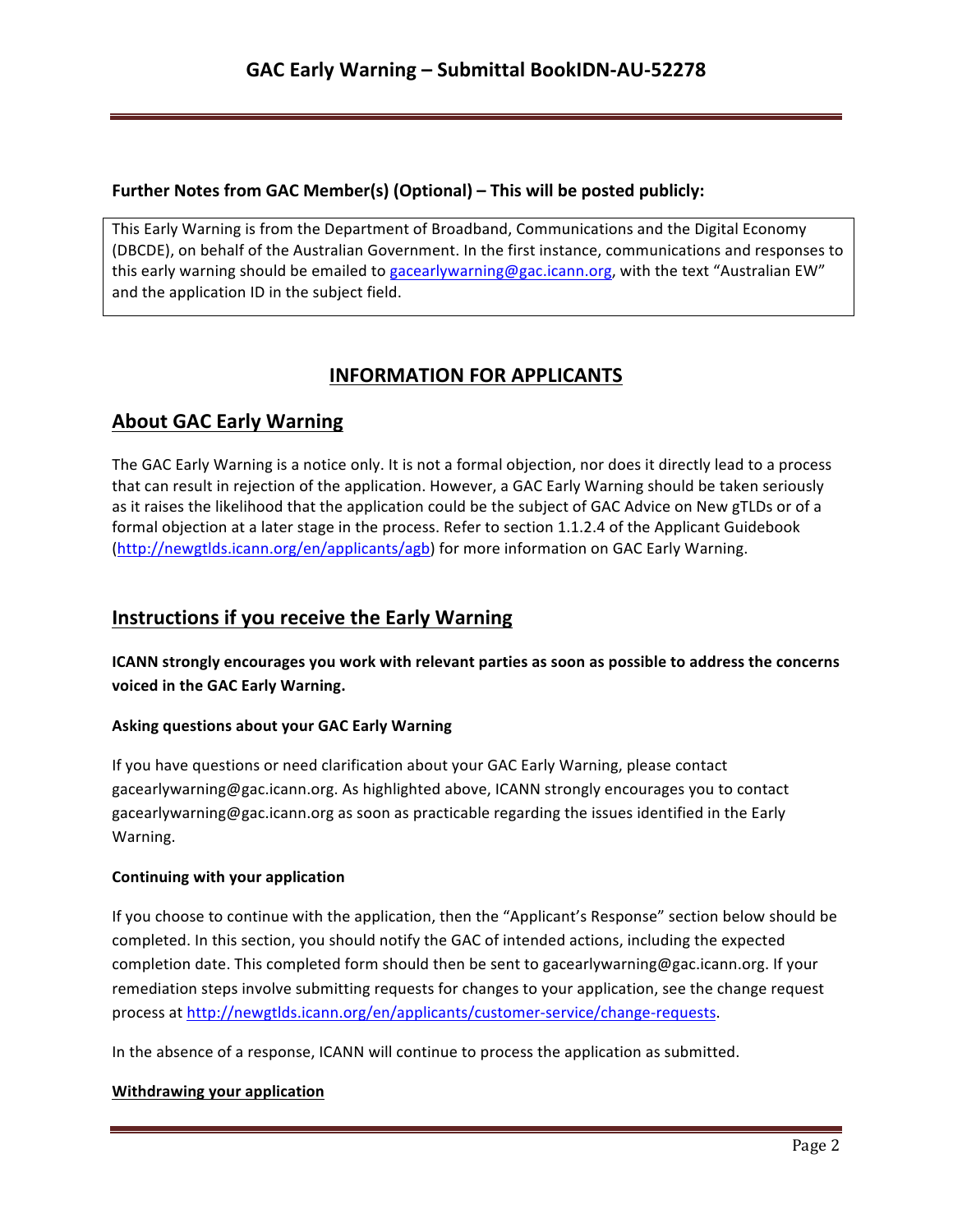### **Further Notes from GAC Member(s) (Optional) – This will be posted publicly:**

This Early Warning is from the Department of Broadband, Communications and the Digital Economy (DBCDE), on behalf of the Australian Government. In the first instance, communications and responses to this early warning should be emailed to gacearlywarning@gac.icann.org, with the text "Australian EW" and the application ID in the subject field.

# **INFORMATION FOR APPLICANTS**

# **About GAC Early Warning**

The GAC Early Warning is a notice only. It is not a formal objection, nor does it directly lead to a process that can result in rejection of the application. However, a GAC Early Warning should be taken seriously as it raises the likelihood that the application could be the subject of GAC Advice on New gTLDs or of a formal objection at a later stage in the process. Refer to section 1.1.2.4 of the Applicant Guidebook (http://newgtlds.icann.org/en/applicants/agb) for more information on GAC Early Warning.

## **Instructions if you receive the Early Warning**

**ICANN** strongly encourages you work with relevant parties as soon as possible to address the concerns voiced in the GAC Early Warning.

### **Asking questions about your GAC Early Warning**

If you have questions or need clarification about your GAC Early Warning, please contact gacearlywarning@gac.icann.org. As highlighted above, ICANN strongly encourages you to contact gacearlywarning@gac.icann.org as soon as practicable regarding the issues identified in the Early Warning. 

### **Continuing with your application**

If you choose to continue with the application, then the "Applicant's Response" section below should be completed. In this section, you should notify the GAC of intended actions, including the expected completion date. This completed form should then be sent to gacearlywarning@gac.icann.org. If your remediation steps involve submitting requests for changes to your application, see the change request process at http://newgtlds.icann.org/en/applicants/customer-service/change-requests.

In the absence of a response, ICANN will continue to process the application as submitted.

### **Withdrawing your application**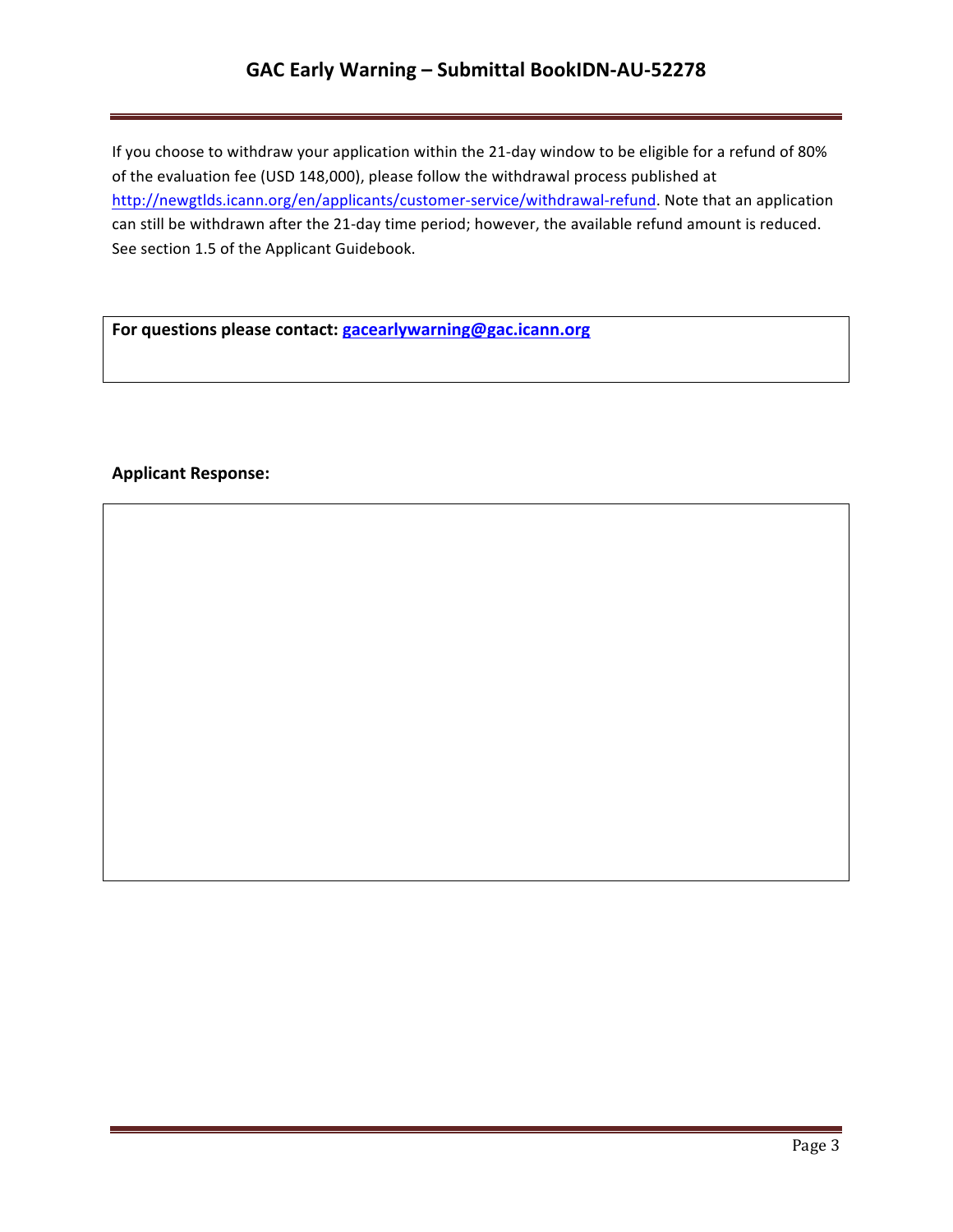# GAC Early Warning - Submittal BookIDN-AU-52278

If you choose to withdraw your application within the 21-day window to be eligible for a refund of 80% of the evaluation fee (USD 148,000), please follow the withdrawal process published at http://newgtlds.icann.org/en/applicants/customer-service/withdrawal-refund. Note that an application can still be withdrawn after the 21-day time period; however, the available refund amount is reduced. See section 1.5 of the Applicant Guidebook.

For questions please contact: **gacearlywarning@gac.icann.org** 

### **Applicant Response:**